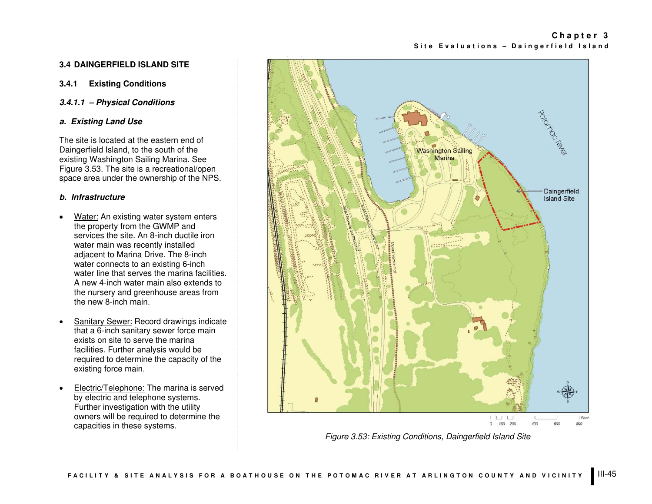### **3.4 DAINGERFIELD ISLAND SITE**

### **3.4.1 Existing Conditions**

## **3.4.1.1 – Physical Conditions**

### **a. Existing Land Use**

The site is located at the eastern end of Daingerfield Island, to the south of the existing Washington Sailing Marina. See Figure 3.53. The site is a recreational/open space area under the ownership of the NPS.

### **b. Infrastructure**

- Water: An existing water system enters the property from the GWMP and services the site. An 8-inch ductile iron water main was recently installed adjacent to Marina Drive. The 8-inch water connects to an existing 6-inch water line that serves the marina facilities. A new 4-inch water main also extends to the nursery and greenhouse areas from the new 8-inch main.
- **Sanitary Sewer: Record drawings indicate** that a 6-inch sanitary sewer force main exists on site to serve the marina facilities. Further analysis would be required to determine the capacity of the existing force main.
- Electric/Telephone: The marina is served by electric and telephone systems. Further investigation with the utility owners will be required to determine the capacities in these systems.



*Figure 3.53: Existing Conditions, Daingerfield Island Site*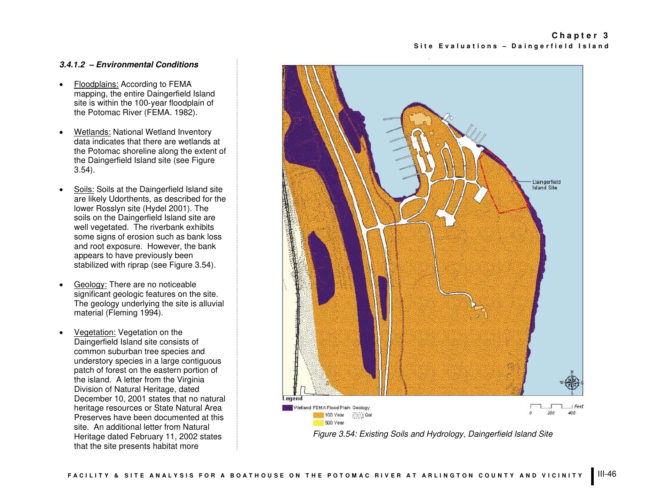## **3.4.1.2 – Environmental Conditions**

- Floodplains: According to FEMA mapping, the entire Daingerfield Island site is within the 100-year floodplain of the Potomac River (FEMA. 1982).
- Wetlands: National Wetland Inventory data indicates that there are wetlands at the Potomac shoreline along the extent of the Daingerfield Island site (see Figure 3.54).
- Soils: Soils at the Daingerfield Island site are likely Udorthents, as described for the lower Rosslyn site (Hydel 2001). The soils on the Daingerfield Island site are well vegetated. The riverbank exhibits some signs of erosion such as bank loss and root exposure. However, the bank appears to have previously been stabilized with riprap (see Figure 3.54).
- Geology: There are no noticeable significant geologic features on the site. The geology underlying the site is alluvial material (Fleming 1994).
- Vegetation: Vegetation on the Daingerfield Island site consists of common suburban tree species and understory species in a large contiguous patch of forest on the eastern portion of the island. A letter from the Virginia Division of Natural Heritage, dated December 10, 2001 states that no natural heritage resources or State Natural Area Preserves have been documented at this site. An additional letter from Natural Heritage dated February 11, 2002 states that the site presents habitat more



*Figure 3.54: Existing Soils and Hydrology, Daingerfield Island Site*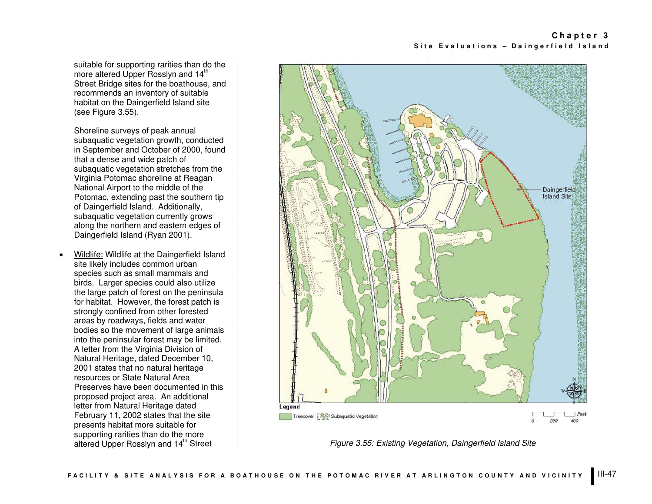suitable for supporting rarities than do the more altered Upper Rosslyn and 14<sup>th</sup> Street Bridge sites for the boathouse, and recommends an inventory of suitable habitat on the Daingerfield Island site (see Figure 3.55).

Shoreline surveys of peak annual subaquatic vegetation growth, conducted in September and October of 2000, found that a dense and wide patch of subaquatic vegetation stretches from the Virginia Potomac shoreline at Reagan National Airport to the middle of the Potomac, extending past the southern tip of Daingerfield Island. Additionally, subaquatic vegetation currently grows along the northern and eastern edges of Daingerfield Island (Ryan 2001).

• Wildlife: Wildlife at the Daingerfield Island site likely includes common urban species such as small mammals and birds. Larger species could also utilize the large patch of forest on the peninsula for habitat. However, the forest patch is strongly confined from other forested areas by roadways, fields and water bodies so the movement of large animals into the peninsular forest may be limited. A letter from the Virginia Division of Natural Heritage, dated December 10, 2001 states that no natural heritage resources or State Natural Area Preserves have been documented in this proposed project area. An additional letter from Natural Heritage dated February 11, 2002 states that the site presents habitat more suitable for supporting rarities than do the more altered Upper Rosslyn and 14<sup>th</sup> Street



*Figure 3.55: Existing Vegetation, Daingerfield Island Site*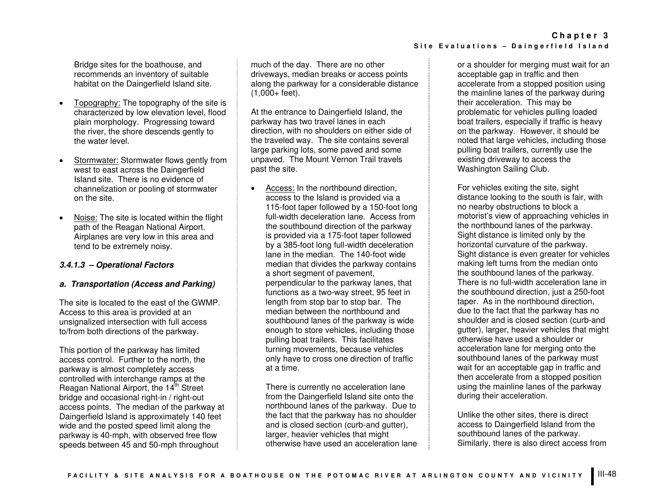Bridge sites for the boathouse, and recommends an inventory of suitable habitat on the Daingerfield Island site.

- Topography: The topography of the site is characterized by low elevation level, flood plain morphology. Progressing toward the river, the shore descends gently to the water level.
- Stormwater: Stormwater flows gently from west to east across the Daingerfield Island site. There is no evidence of channelization or pooling of stormwater on the site.
- Noise: The site is located within the flight path of the Reagan National Airport. Airplanes are very low in this area and tend to be extremely noisy.

#### **3.4.1.3 – Operational Factors**

#### **a. Transportation (Access and Parking)**

The site is located to the east of the GWMP. Access to this area is provided at an unsignalized intersection with full access to/from both directions of the parkway.

This portion of the parkway has limited access control. Further to the north, the parkway is almost completely access controlled with interchange ramps at the Reagan National Airport, the 14<sup>th</sup> Street bridge and occasional right-in / right-out access points. The median of the parkway at Daingerfield Island is approximately 140 feet wide and the posted speed limit along the parkway is 40-mph, with observed free flow speeds between 45 and 50-mph throughout

much of the day. There are no other driveways, median breaks or access points along the parkway for a considerable distance (1,000+ feet).

At the entrance to Daingerfield Island, the parkway has two travel lanes in each direction, with no shoulders on either side of the traveled way. The site contains several large parking lots, some paved and some unpaved. The Mount Vernon Trail travels past the site.

• Access: In the northbound direction, access to the Island is provided via a 115-foot taper followed by a 150-foot long full-width deceleration lane. Access from the southbound direction of the parkway is provided via a 175-foot taper followed by a 385-foot long full-width deceleration lane in the median. The 140-foot wide median that divides the parkway contains a short segment of pavement, perpendicular to the parkway lanes, that functions as a two-way street, 95 feet in length from stop bar to stop bar. The median between the northbound and southbound lanes of the parkway is wide enough to store vehicles, including those pulling boat trailers. This facilitates turning movements, because vehicles only have to cross one direction of traffic at a time.

There is currently no acceleration lane from the Daingerfield Island site onto the northbound lanes of the parkway. Due to the fact that the parkway has no shoulder and is closed section (curb-and gutter), larger, heavier vehicles that might otherwise have used an acceleration lane

or a shoulder for merging must wait for an acceptable gap in traffic and then accelerate from a stopped position using the mainline lanes of the parkway during their acceleration. This may be problematic for vehicles pulling loaded boat trailers, especially if traffic is heavy on the parkway. However, it should be noted that large vehicles, including those pulling boat trailers, currently use the existing driveway to access the

For vehicles exiting the site, sight distance looking to the south is fair, with no nearby obstructions to block a motorist's view of approaching vehicles in the northbound lanes of the parkway. Sight distance is limited only by the horizontal curvature of the parkway. Sight distance is even greater for vehicles making left turns from the median onto the southbound lanes of the parkway. There is no full-width acceleration lane in the southbound direction, just a 250-foot taper. As in the northbound direction, due to the fact that the parkway has no shoulder and is closed section (curb-and gutter), larger, heavier vehicles that might otherwise have used a shoulder or acceleration lane for merging onto the southbound lanes of the parkway must wait for an acceptable gap in traffic and then accelerate from a stopped position using the mainline lanes of the parkway during their acceleration.

Unlike the other sites, there is direct access to Daingerfield Island from the southbound lanes of the parkway. Similarly, there is also direct access from

Washington Sailing Club.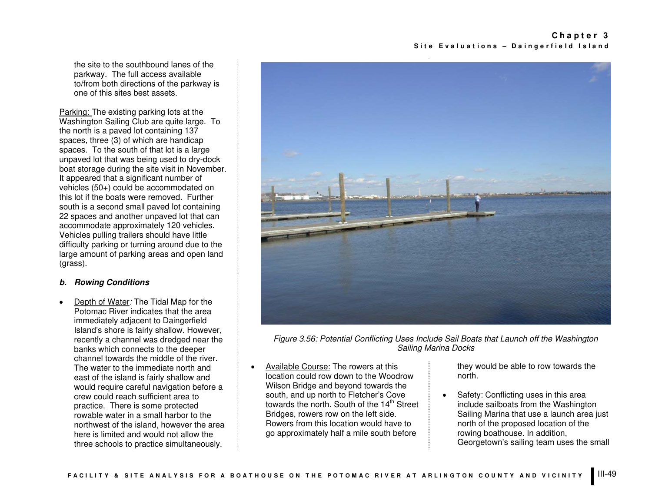the site to the southbound lanes of the parkway. The full access available to/from both directions of the parkway is one of this sites best assets.

Parking: The existing parking lots at the Washington Sailing Club are quite large. To the north is a paved lot containing 137 spaces, three (3) of which are handicap spaces. To the south of that lot is a large unpaved lot that was being used to dry-dock boat storage during the site visit in November. It appeared that a significant number of vehicles (50+) could be accommodated on this lot if the boats were removed. Further south is a second small paved lot containing 22 spaces and another unpaved lot that can accommodate approximately 120 vehicles. Vehicles pulling trailers should have little difficulty parking or turning around due to the large amount of parking areas and open land (grass).

### **b. Rowing Conditions**

• Depth of Water*:* The Tidal Map for the Potomac River indicates that the area immediately adjacent to Daingerfield Island's shore is fairly shallow. However, recently a channel was dredged near the banks which connects to the deeper channel towards the middle of the river. The water to the immediate north and east of the island is fairly shallow and would require careful navigation before a crew could reach sufficient area to practice. There is some protected rowable water in a small harbor to the northwest of the island, however the area here is limited and would not allow the three schools to practice simultaneously.



*Figure 3.56: Potential Conflicting Uses Include Sail Boats that Launch off the Washington Sailing Marina Docks* 

• Available Course: The rowers at this location could row down to the Woodrow Wilson Bridge and beyond towards the south, and up north to Fletcher's Cove towards the north. South of the 14<sup>th</sup> Street Bridges, rowers row on the left side. Rowers from this location would have to go approximately half a mile south before

they would be able to row towards the north.

Safety: Conflicting uses in this area include sailboats from the Washington Sailing Marina that use a launch area just north of the proposed location of the rowing boathouse. In addition, Georgetown's sailing team uses the small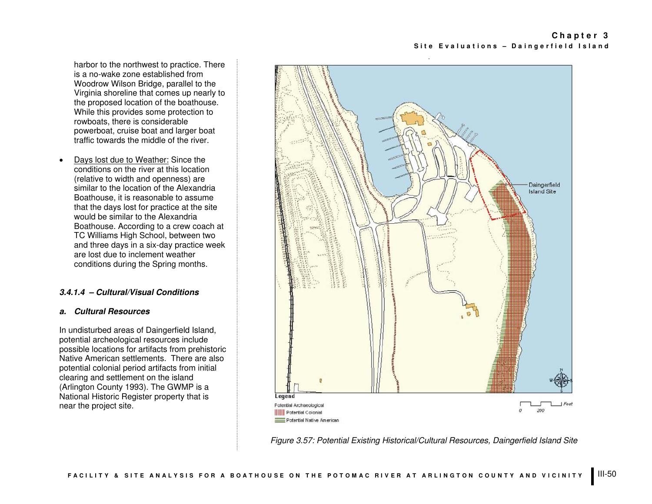harbor to the northwest to practice. There is a no-wake zone established from Woodrow Wilson Bridge, parallel to the Virginia shoreline that comes up nearly to the proposed location of the boathouse. While this provides some protection to rowboats, there is considerable powerboat, cruise boat and larger boat traffic towards the middle of the river.

• Days lost due to Weather: Since the conditions on the river at this location (relative to width and openness) are similar to the location of the Alexandria Boathouse, it is reasonable to assume that the days lost for practice at the site would be similar to the Alexandria Boathouse. According to a crew coach at TC Williams High School, between two and three days in a six-day practice week are lost due to inclement weather conditions during the Spring months.

### **3.4.1.4 – Cultural/Visual Conditions**

#### **a. Cultural Resources**

In undisturbed areas of Daingerfield Island, potential archeological resources include possible locations for artifacts from prehistoric Native American settlements. There are also potential colonial period artifacts from initial clearing and settlement on the island (Arlington County 1993). The GWMP is a National Historic Register property that is near the project site.



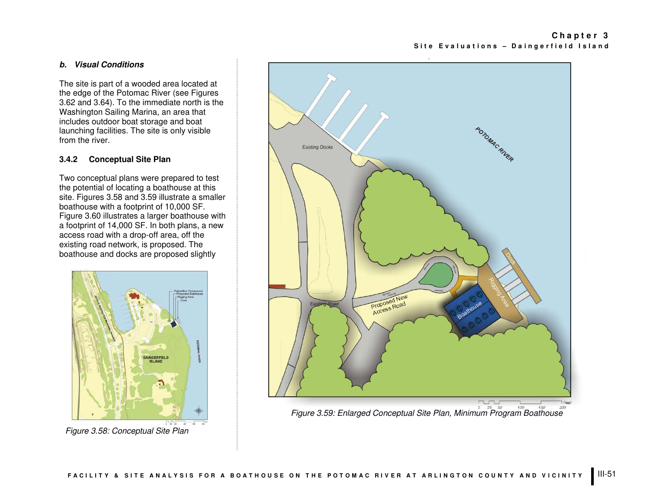#### **b. Visual Conditions**

The site is part of a wooded area located at the edge of the Potomac River (see Figures 3.62 and 3.64). To the immediate north is the Washington Sailing Marina, an area that includes outdoor boat storage and boat launching facilities. The site is only visible from the river.

### **3.4.2 Conceptual Site Plan**

Two conceptual plans were prepared to test the potential of locating a boathouse at this site. Figures 3.58 and 3.59 illustrate a smaller boathouse with a footprint of 10,000 SF. Figure 3.60 illustrates a larger boathouse with a footprint of 14,000 SF. In both plans, a new access road with a drop-off area, off the existing road network, is proposed. The boathouse and docks are proposed slightly



*Figure 3.58: Conceptual Site Plan* 



*Figure 3.59: Enlarged Conceptual Site Plan, Minimum Program Boathouse*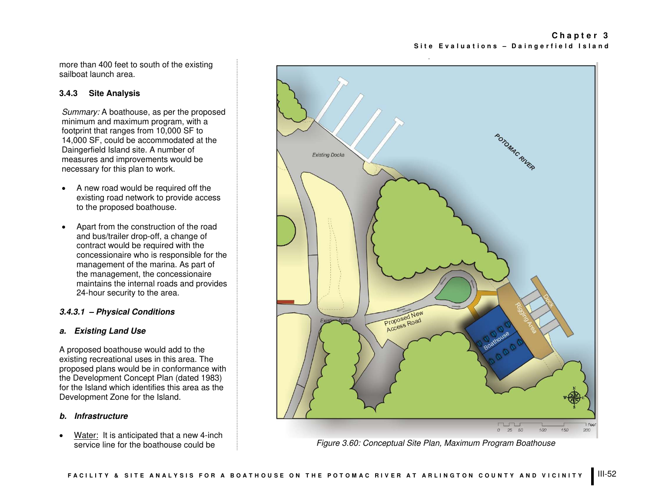more than 400 feet to south of the existing sailboat launch area.

### **3.4.3 Site Analysis**

*Summary:* A boathouse, as per the proposed minimum and maximum program, with a footprint that ranges from 10,000 SF to 14,000 SF, could be accommodated at the Daingerfield Island site. A number of measures and improvements would be necessary for this plan to work.

- A new road would be required off the existing road network to provide access to the proposed boathouse.
- Apart from the construction of the road and bus/trailer drop-off, a change of contract would be required with the concessionaire who is responsible for the management of the marina. As part of the management, the concessionaire maintains the internal roads and provides 24-hour security to the area.

### **3.4.3.1 – Physical Conditions**

#### **a. Existing Land Use**

A proposed boathouse would add to the existing recreational uses in this area. The proposed plans would be in conformance with the Development Concept Plan (dated 1983) for the Island which identifies this area as the Development Zone for the Island.

#### **b. Infrastructure**

Water: It is anticipated that a new 4-inch service line for the boathouse could be



*Figure 3.60: Conceptual Site Plan, Maximum Program Boathouse*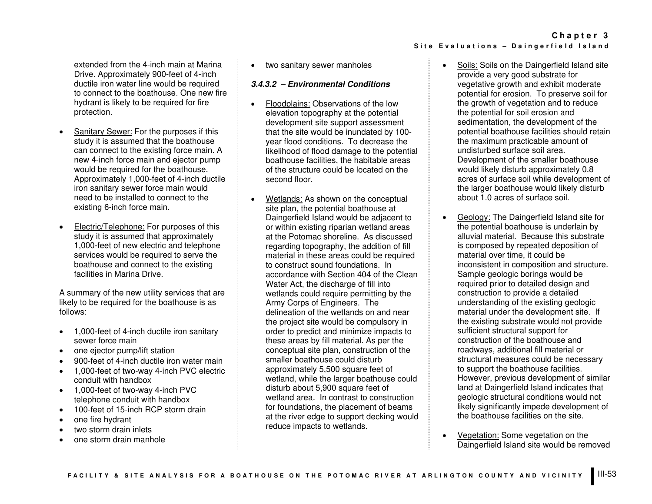extended from the 4-inch main at Marina Drive. Approximately 900-feet of 4-inch ductile iron water line would be required to connect to the boathouse. One new fire hydrant is likely to be required for fire protection.

- Sanitary Sewer: For the purposes if this study it is assumed that the boathouse can connect to the existing force main. A new 4-inch force main and ejector pump would be required for the boathouse. Approximately 1,000-feet of 4-inch ductile iron sanitary sewer force main would need to be installed to connect to the existing 6-inch force main.
- **Electric/Telephone:** For purposes of this study it is assumed that approximately 1,000-feet of new electric and telephone services would be required to serve the boathouse and connect to the existing facilities in Marina Drive.

A summary of the new utility services that are likely to be required for the boathouse is as follows:

- 1,000-feet of 4-inch ductile iron sanitary sewer force main
- one ejector pump/lift station
- 900-feet of 4-inch ductile iron water main
- 1,000-feet of two-way 4-inch PVC electric conduit with handbox
- 1,000-feet of two-way 4-inch PVC telephone conduit with handbox
- 100-feet of 15-inch RCP storm drain
- one fire hydrant
- two storm drain inlets
- one storm drain manhole

• two sanitary sewer manholes

### **3.4.3.2 – Environmental Conditions**

- Floodplains: Observations of the low elevation topography at the potential development site support assessment that the site would be inundated by 100 year flood conditions. To decrease the likelihood of flood damage to the potential boathouse facilities, the habitable areas of the structure could be located on the second floor.
- Wetlands: As shown on the conceptual site plan, the potential boathouse at Daingerfield Island would be adjacent to or within existing riparian wetland areas at the Potomac shoreline. As discussed regarding topography, the addition of fill material in these areas could be required to construct sound foundations. In accordance with Section 404 of the Clean Water Act, the discharge of fill into wetlands could require permitting by the Army Corps of Engineers. The delineation of the wetlands on and near the project site would be compulsory in order to predict and minimize impacts to these areas by fill material. As per the conceptual site plan, construction of the smaller boathouse could disturb approximately 5,500 square feet of wetland, while the larger boathouse could disturb about 5,900 square feet of wetland area. In contrast to construction for foundations, the placement of beams at the river edge to support decking would reduce impacts to wetlands.
- Soils: Soils on the Daingerfield Island site provide a very good substrate for vegetative growth and exhibit moderate potential for erosion. To preserve soil for the growth of vegetation and to reduce the potential for soil erosion and sedimentation, the development of the potential boathouse facilities should retain the maximum practicable amount of undisturbed surface soil area.

Development of the smaller boathouse would likely disturb approximately 0.8 acres of surface soil while development of the larger boathouse would likely disturb about 1.0 acres of surface soil.

- Geology: The Daingerfield Island site for the potential boathouse is underlain by alluvial material. Because this substrate is composed by repeated deposition of material over time, it could be inconsistent in composition and structure. Sample geologic borings would be required prior to detailed design and construction to provide a detailed understanding of the existing geologic material under the development site. If the existing substrate would not provide sufficient structural support for construction of the boathouse and roadways, additional fill material or structural measures could be necessary to support the boathouse facilities. However, previous development of similar land at Daingerfield Island indicates that geologic structural conditions would not likely significantly impede development of the boathouse facilities on the site.
- Vegetation: Some vegetation on the Daingerfield Island site would be removed

## **Chapter 3**  Site Evaluations - Daingerfield Island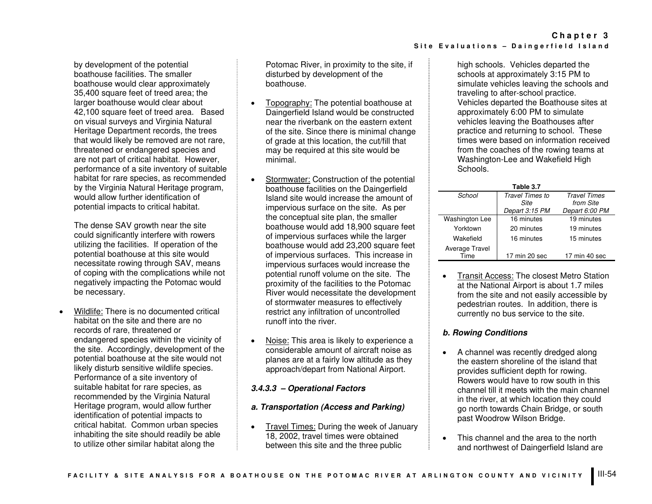**FACILITY & SITE ANALYSIS FOR A BOATHOUSE ON THE POTOM AC RIVER AT ARLINGTON COUNTY AND VICINITY** III-54

by development of the potential boathouse facilities. The smaller boathouse would clear approximately 35,400 square feet of treed area; the larger boathouse would clear about 42,100 square feet of treed area. Based on visual surveys and Virginia Natural Heritage Department records, the trees that would likely be removed are not rare, threatened or endangered species and are not part of critical habitat. However, performance of a site inventory of suitable habitat for rare species, as recommended by the Virginia Natural Heritage program, would allow further identification of potential impacts to critical habitat.

The dense SAV growth near the site could significantly interfere with rowers utilizing the facilities. If operation of the potential boathouse at this site would necessitate rowing through SAV, means of coping with the complications while not negatively impacting the Potomac would be necessary.

• Wildlife: There is no documented critical habitat on the site and there are no records of rare, threatened or endangered species within the vicinity of the site. Accordingly, development of the potential boathouse at the site would not likely disturb sensitive wildlife species. Performance of a site inventory of suitable habitat for rare species, as recommended by the Virginia Natural Heritage program, would allow further identification of potential impacts to critical habitat. Common urban species inhabiting the site should readily be able to utilize other similar habitat along the

Potomac River, in proximity to the site, if disturbed by development of the boathouse.

- Topography: The potential boathouse at Daingerfield Island would be constructed near the riverbank on the eastern extent of the site. Since there is minimal change of grade at this location, the cut/fill that may be required at this site would be minimal.
- Stormwater: Construction of the potential boathouse facilities on the Daingerfield Island site would increase the amount of impervious surface on the site. As per the conceptual site plan, the smaller boathouse would add 18,900 square feet of impervious surfaces while the larger boathouse would add 23,200 square feet of impervious surfaces. This increase in impervious surfaces would increase the potential runoff volume on the site. The proximity of the facilities to the Potomac River would necessitate the development of stormwater measures to effectively restrict any infiltration of uncontrolled runoff into the river.
- Noise: This area is likely to experience a considerable amount of aircraft noise as planes are at a fairly low altitude as they approach/depart from National Airport.

# **3.4.3.3 – Operational Factors**

### **a. Transportation (Access and Parking)**

• Travel Times: During the week of January 18, 2002, travel times were obtained between this site and the three public

high schools. Vehicles departed the schools at approximately 3:15 PM to simulate vehicles leaving the schools and traveling to after-school practice. Vehicles departed the Boathouse sites at approximately 6:00 PM to simulate vehicles leaving the Boathouses after practice and returning to school. These times were based on information received from the coaches of the rowing teams at Washington-Lee and Wakefield High Schools.

| Table 3.7              |                 |                     |  |
|------------------------|-----------------|---------------------|--|
| School                 | Travel Times to | <b>Travel Times</b> |  |
|                        | Site            | from Site           |  |
|                        | Depart 3:15 PM  | Depart 6:00 PM      |  |
| Washington Lee         | 16 minutes      | 19 minutes          |  |
| Yorktown               | 20 minutes      | 19 minutes          |  |
| Wakefield              | 16 minutes      | 15 minutes          |  |
| Average Travel<br>Time |                 |                     |  |
|                        | 17 min 20 sec   | 17 min 40 sec       |  |

• Transit Access: The closest Metro Station at the National Airport is about 1.7 miles from the site and not easily accessible by pedestrian routes. In addition, there is currently no bus service to the site.

# **b. Rowing Conditions**

- A channel was recently dredged along the eastern shoreline of the island that provides sufficient depth for rowing. Rowers would have to row south in this channel till it meets with the main channel in the river, at which location they could go north towards Chain Bridge, or south past Woodrow Wilson Bridge.
- This channel and the area to the north and northwest of Daingerfield Island are

### **Chapter 3**  Site Evaluations - Daingerfield Island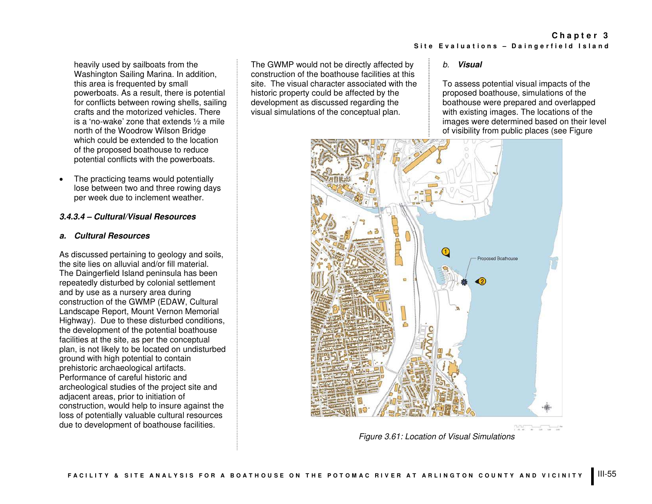heavily used by sailboats from the Washington Sailing Marina. In addition, this area is frequented by small powerboats. As a result, there is potential for conflicts between rowing shells, sailing crafts and the motorized vehicles. There is a 'no-wake' zone that extends ½ a mile north of the Woodrow Wilson Bridge which could be extended to the location of the proposed boathouse to reduce potential conflicts with the powerboats.

The practicing teams would potentially lose between two and three rowing days per week due to inclement weather.

#### **3.4.3.4 – Cultural/Visual Resources**

#### **a. Cultural Resources**

As discussed pertaining to geology and soils, the site lies on alluvial and/or fill material. The Daingerfield Island peninsula has been repeatedly disturbed by colonial settlement and by use as a nursery area during construction of the GWMP (EDAW, Cultural Landscape Report, Mount Vernon Memorial Highway). Due to these disturbed conditions, the development of the potential boathouse facilities at the site, as per the conceptual plan, is not likely to be located on undisturbed ground with high potential to contain prehistoric archaeological artifacts. Performance of careful historic and archeological studies of the project site and adjacent areas, prior to initiation of construction, would help to insure against the loss of potentially valuable cultural resources due to development of boathouse facilities.

The GWMP would not be directly affected by construction of the boathouse facilities at this site. The visual character associated with the historic property could be affected by the development as discussed regarding the visual simulations of the conceptual plan.

### *b.* **Visual**

To assess potential visual impacts of the proposed boathouse, simulations of the boathouse were prepared and overlapped with existing images. The locations of the images were determined based on their level of visibility from public places (see Figure



*Figure 3.61: Location of Visual Simulations*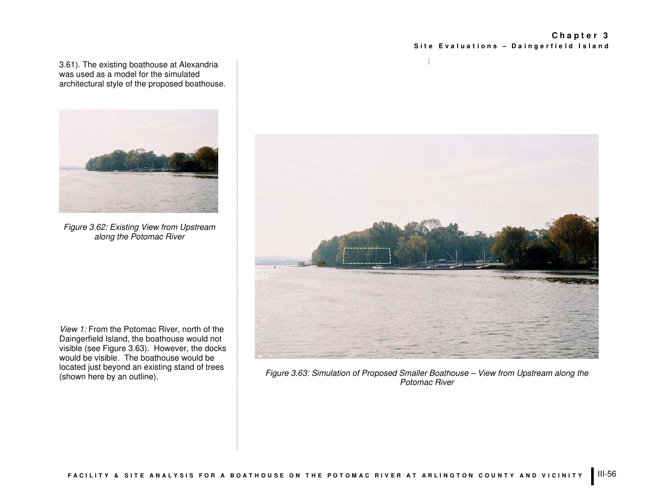3.61). The existing boathouse at Alexandria was used as a model for the simulated architectural style of the proposed boathouse.



*Figure 3.62: Existing View from Upstream along the Potomac River*

*View 1:* From the Potomac River, north of the Daingerfield Island, the boathouse would not visible (see Figure 3.63). However, the docks would be visible. The boathouse would be located just beyond an existing stand of trees (shown here by an outline).



*Figure 3.63: Simulation of Proposed Smaller Boathouse – View from Upstream along the Potomac River*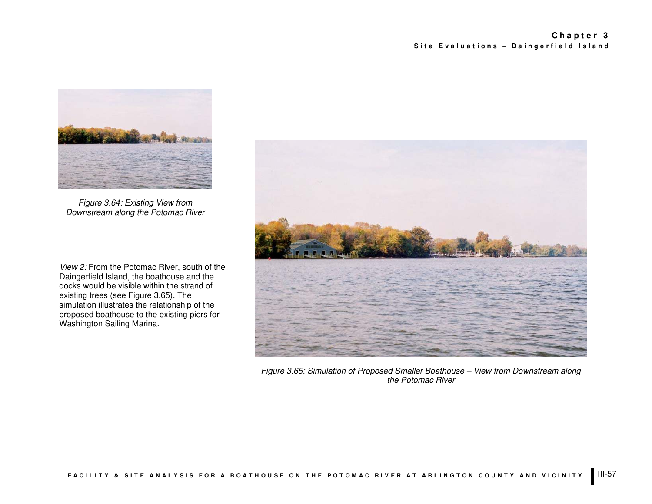

*Figure 3.64: Existing View from Downstream along the Potomac River*

*View 2:* From the Potomac River, south of the Daingerfield Island, the boathouse and the docks would be visible within the strand of existing trees (see Figure 3.65). The simulation illustrates the relationship of the proposed boathouse to the existing piers for Washington Sailing Marina.



*Figure 3.65: Simulation of Proposed Smaller Boathouse – View from Downstream along the Potomac River*